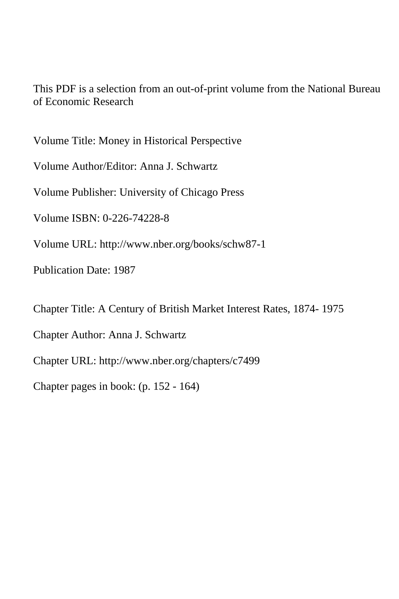This PDF is a selection from an out-of-print volume from the National Bureau of Economic Research

Volume Title: Money in Historical Perspective

Volume Author/Editor: Anna J. Schwartz

Volume Publisher: University of Chicago Press

Volume ISBN: 0-226-74228-8

Volume URL: http://www.nber.org/books/schw87-1

Publication Date: 1987

Chapter Title: A Century of British Market Interest Rates, 1874- 1975

Chapter Author: Anna J. Schwartz

Chapter URL: http://www.nber.org/chapters/c7499

Chapter pages in book: (p. 152 - 164)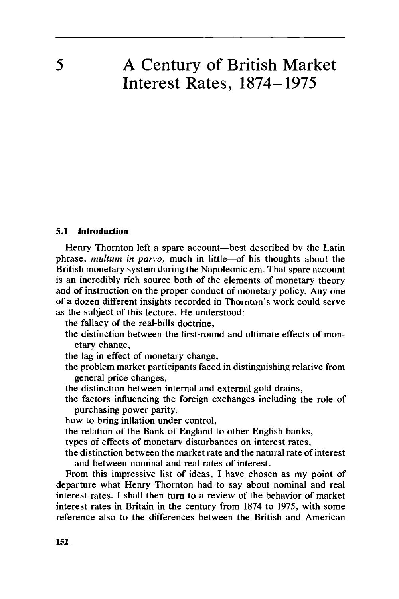# *5* A Century of British Market Interest Rates, 1874- 1975

# **5.1 Introduction**

Henry Thornton left a spare account—best described by the Latin phrase, *multum in parvo*, much in little-of his thoughts about the British monetary system during the Napoleonic era. That spare account is an incredibly rich source both of the elements of monetary theory and of instruction on the proper conduct of monetary policy. Any one of a dozen different insights recorded in Thornton's work could serve as the subject of this lecture. He understood:

the fallacy of the real-bills doctrine,

the distinction between the first-round and ultimate effects of monetary change,

the lag in effect of monetary change,

- the problem market participants faced in distinguishing relative from general price changes,
- the distinction between internal and external gold drains,
- the factors influencing the foreign exchanges including the role of purchasing power parity,

how to bring inflation under control,

the relation of the Bank of England to other English banks,

types of effects of monetary disturbances on interest rates,

the distinction between the market rate and the natural rate of interest and between nominal and real rates of interest.

From this impressive list of ideas, I have chosen as my point of departure what Henry Thornton had to say about nominal and real interest rates. I shall then turn to a review of the behavior of market interest rates in Britain in the century from **1874** to **1975,** with some reference also to the differences between the British and American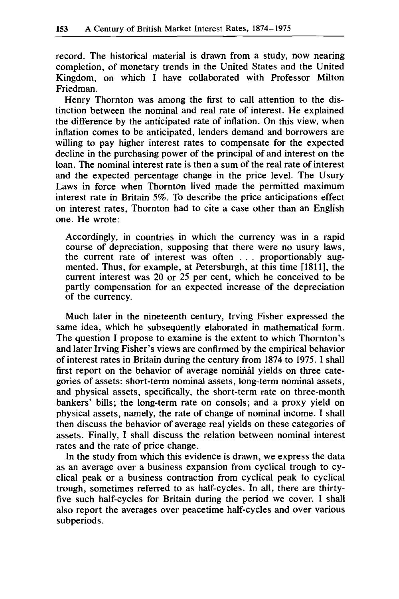record. The historical material is drawn from a study, now nearing completion, of monetary trends in the United States and the United Kingdom, on which I have collaborated with Professor Milton Friedman.

Henry Thornton was among the first to call attention to the distinction between the nominal and real rate of interest. He explained the difference by the anticipated rate of inflation. On this view, when inflation comes to be anticipated, lenders demand and borrowers are willing to pay higher interest rates to compensate for the expected decline in the purchasing power of the principal of and interest on the loan. The nominal interest rate is then a sum of the real rate of interest and the expected percentage change in the price level. The Usury Laws in force when Thornton lived made the permitted maximum interest rate in Britain 5%. To describe the price anticipations effect on interest rates, Thornton had to cite a case other than an English one. He wrote:

Accordingly, in countries in which the currency was in a rapid course of depreciation, supposing that there were no usury laws, the current rate of interest was often . . . proportionably augmented. Thus, for example, at Petersburgh, at this time **[1811],** the current interest was 20 or 25 per cent, which he conceived to be partly compensation for an expected increase of the depreciation of the currency.

Much later in the nineteenth century, Irving Fisher expressed the same idea, which he subsequently elaborated in mathematical form. The question I propose to examine is the extent to which Thornton's and later Irving Fisher's views are confirmed by the empirical behavior of interest rates in Britain during the century from 1874 to **1975.** I shall first report on the behavior of average nominal yields on three categories of assets: short-term nominal assets, long-term nominal assets, and physical assets, specifically, the short-term rate on three-month bankers' bills; the long-term rate on consols; and a proxy yield on physical assets, namely, the rate of change of nominal income. I shall then discuss the behavior of average real yields on these categories of assets. Finally, I shall discuss the relation between nominal interest rates and the rate of price change.

In the study from which this evidence is drawn, we express the data as an average over a business expansion from cyclical trough to cyclical peak or a business contraction from cyclical peak to cyclical trough, sometimes referred to as half-cycles. In all, there are thirtyfive such half-cycles for Britain during the period we cover. I shall also report the averages over peacetime half-cycles and over various subperiods.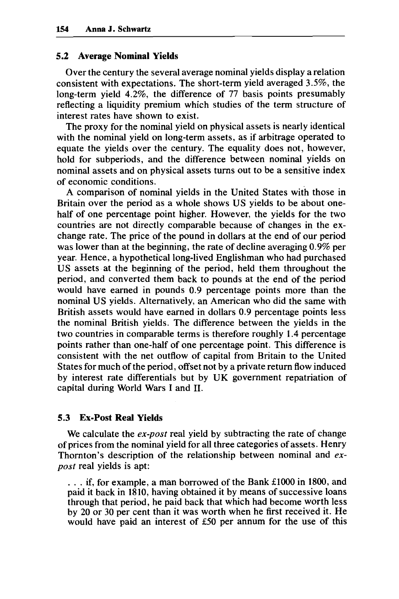#### **5.2 Average Nominal Yields**

Over the century the several average nominal yields display a relation consistent with expectations. The short-term yield averaged **3.5%,** the long-term yield **4.2%,** the difference of 77 basis points presumably reflecting a liquidity premium which studies of the term structure of interest rates have shown to exist.

The proxy for the nominal yield on physical assets is nearly identical with the nominal yield on long-term assets, as if arbitrage operated to equate the yields over the century. The equality does not, however, hold for subperiods, and the difference between nominal yields on nominal assets and on physical assets turns out to be a sensitive index of economic conditions.

A comparison of nominal yields in the United States with those in Britain over the period as a whole shows US yields to be about onehalf of one percentage point higher. However, the yields for the two countries are not directly comparable because of changes in the exchange rate. The price of the pound in dollars at the end of our period was lower than at the beginning, the rate of decline averaging 0.9% per year. Hence, a hypothetical long-lived Englishman who had purchased US assets at the beginning of the period, held them throughout the period, and converted them back to pounds at the end of the period would have earned in pounds 0.9 percentage points more than the nominal US yields. Alternatively, an American who did the same with British assets would have earned in dollars 0.9 percentage points less the nominal British yields. The difference between the yields in the two countries in comparable terms is therefore roughly **1.4** percentage points rather than one-half of one percentage point. This difference is consistent with the net outflow of capital from Britain to the United States for much of the period, offset not by a private return flow induced by interest rate differentials but by UK government repatriation of capital during World Wars I and 11.

# **5.3 Ex-Post Real Yields**

We calculate the ex-post real yield by subtracting the rate of change of prices from the nominal yield for all three categories of assets. Henry Thornton's description of the relationship between nominal and **ex**post real yields is apt:

. . . if, for example, a man borrowed of the Bank **flOOO** in **1800,** and paid it back in 1810, having obtained it by means of successive loans through that period, he paid back that which had become worth less by 20 or 30 per cent than it was worth when he first received it. He would have paid an interest of £50 per annum for the use of this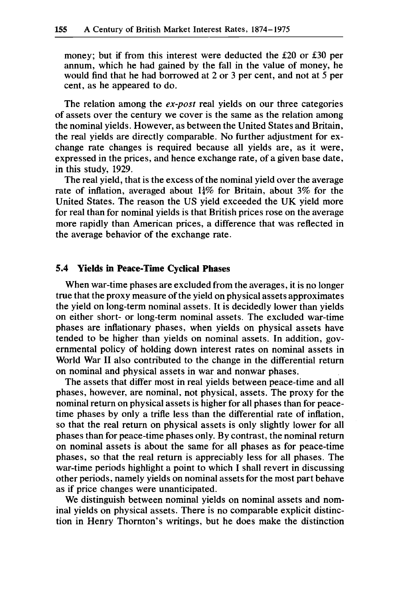money; but if from this interest were deducted the **f20** or **230** per annum, which he had gained by the fall in the value of money, he would find that he had borrowed at **2** or 3 per cent, and not at *5* per cent, as he appeared to do.

The relation among the *ex-post* real yields on our three categories of assets over the century we cover is the same as the relation among the nominal yields. However, as between the United States and Britain, the real yields are directly comparable. No further adjustment for exchange rate changes is required because all yields are, as it were, expressed in the prices, and hence exchange rate, of a given base date, in this study, **1929.** 

The real yield, that is the excess of the nominal yield over the average rate of inflation, averaged about **1i%** for Britain, about **3%** for the United States. The reason the US yield exceeded the UK yield more for real than for nominal yields is that British prices rose on the average more rapidly than American prices, a difference that was reflected in the average behavior of the exchange rate.

### **5.4 Yields in Peace-Time Cyclical Phases**

When war-time phases are excluded from the averages, it is no longer true that the proxy measure of the yield on physical assets approximates the yield on long-term nominal assets. It is decidedly lower than yields on either short- or long-term nominal assets. The excluded war-time phases are inflationary phases, when yields on physical assets have tended to be higher than yields on nominal assets. In addition, governmental policy of holding down interest rates on nominal assets in World War **I1** also contributed to the change in the differential return on nominal and physical assets in war and nonwar phases.

The assets that differ most in real yields between peace-time and all phases, however, are nominal, not physical, assets. The proxy for the nominal return on physical assets is higher for all phases than for peacetime phases by only a trifle less than the differential rate of inflation, so that the real return on physical assets is only slightly lower for all phases than for peace-time phases only. By contrast, the nominal return on nominal assets is about the same for all phases as for peace-time phases, so that the real return is appreciably less for all phases. The war-time periods highlight a point to which I shall revert in discussing other periods, namely yields on nominal assets for the most part behave as if price changes were unanticipated.

We distinguish between nominal yields on nominal assets and nominal yields on physical assets. There is no comparable explicit distinction in Henry Thornton's writings, but he does make the distinction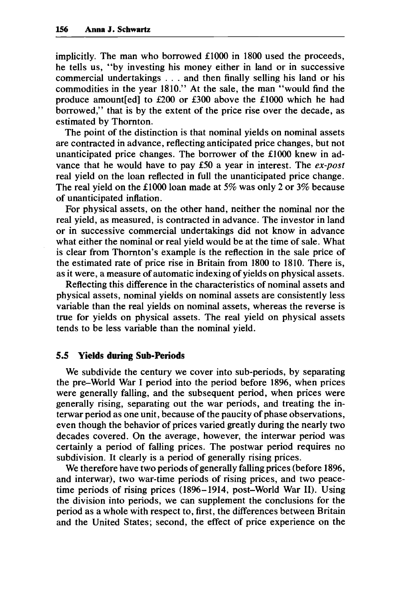implicitly. The man who borrowed £1000 in 1800 used the proceeds, he tells us, "by investing his money either in land or in successive commercial undertakings . . . and then finally selling his land or his commodities in the year 1810." At the sale, the man "would find the produce amount[ed] to &200 or **&300** above the &lo00 which he had borrowed," that is by the extent of the price rise over the decade, as estimated by Thornton.

The point of the distinction is that nominal yields on nominal assets are contracted in advance, reflecting anticipated price changes, but not unanticipated price changes. The borrower of the flOOO knew in advance that he would have to pay **f50** a year in interest. The ex-post real yield on the loan reflected in full the unanticipated price change. The real yield on the El000 loan made at *5%* was only 2 or 3% because of unanticipated inflation.

For physical assets, on the other hand, neither the nominal nor the real yield, as measured, is contracted in advance. The investor in land or in successive commercial undertakings did not know in advance what either the nominal or real yield would be at the time of sale. What is clear from Thornton's example is the reflection in the sale price of the estimated rate of price rise in Britain from 1800 to 1810. There is, as it were, a measure of automatic indexing of yields on physical assets.

Reflecting this difference in the characteristics of nominal assets and physical assets, nominal yields on nominal assets are consistently less variable than the real yields on nominal assets, whereas the reverse is true for yields on physical assets. The real yield on physical assets tends to be less variable than the nominal yield.

# *5.5* **Yields during Sub-Periods**

We subdivide the century we cover into sub-periods, by separating the pre-World War I period into the period before 1896, when prices were generally falling, and the subsequent period, when prices were generally rising, separating out the war periods, and treating the interwar period as one unit, because of the paucity of phase observations, even though the behavior of prices varied greatly during the nearly two decades covered. On the average, however, the interwar period was certainly a period of falling prices. The postwar period requires no subdivision. It clearly is a period of generally rising prices.

We therefore have two periods of generally falling prices (before 1896, and interwar), two war-time periods of rising prices, and two peacetime periods of rising prices (1896-1914, post-World War 11). Using the division into periods, we can supplement the conclusions for the period as a whole with respect to, first, the differences between Britain and the United States; second, the effect of price experience on the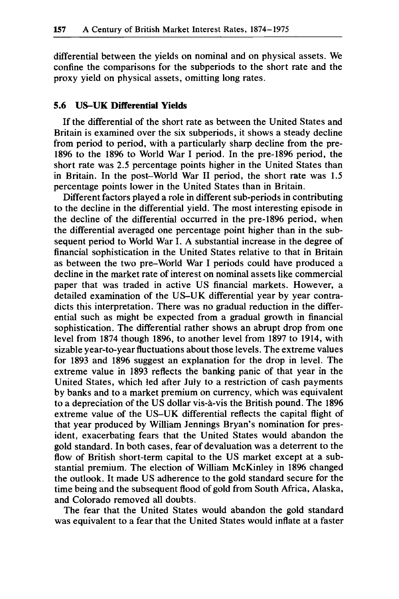differential between the yields on nominal and on physical assets. We confine the comparisons for the subperiods to the short rate and the proxy yield on physical assets, omitting long rates.

### **5.6 US-UK Differential Yields**

If the differential of the short rate as between the United States and Britain is examined over the six subperiods, it shows a steady decline from period to period, with a particularly sharp decline from the pre-1896 to the 1896 to World War I period. In the pre-1896 period, the short rate was 2.5 percentage points higher in the United States than in Britain. In the post-World War I1 period, the short rate was **1.5**  percentage points lower in the United States than in Britain.

Different factors played a role in different sub-periods in contributing to the decline in the differential yield. The most interesting episode in the decline of the differential occurred in the pre-1896 period, when the differential averaged one percentage point higher than in the subsequent period to World War I. A substantial increase in the degree of financial sophistication in the United States relative to that in Britain as between the two pre-World War I periods could have produced a decline in the market rate of interest on nominal assets like commercial paper that was traded in active US financial markets. However, a detailed examination of the US-UK differential year by year contradicts this interpretation. There was no gradual reduction in the differential such as might be expected from a gradual growth in financial sophistication. The differential rather shows an abrupt drop from one level from **1874** though 1896, to another level from 1897 to 1914, with sizable year-to-year fluctuations about those levels. The extreme values for 1893 and 1896 suggest an explanation for the drop in level. The extreme value in 1893 reflects the banking panic of that year in the United States, which led after July to a restriction of cash payments by banks and to a market premium on currency, which was equivalent to a depreciation of the US dollar vis-a-vis the British pound. The 1896 extreme value of the US-UK differential reflects the capital flight of that year produced by William Jennings Bryan's nomination for president, exacerbating fears that the United States would abandon the gold standard. In both cases, fear of devaluation was a deterrent to the flow of British short-term capital to the US market except at a substantial premium. The election of William McKinley in 1896 changed the outlook. It made US adherence to the gold standard secure for the time being and the subsequent flood of gold from South Africa, Alaska, and Colorado removed all doubts.

The fear that the United States would abandon the gold standard was equivalent to a fear that the United States would inflate at a faster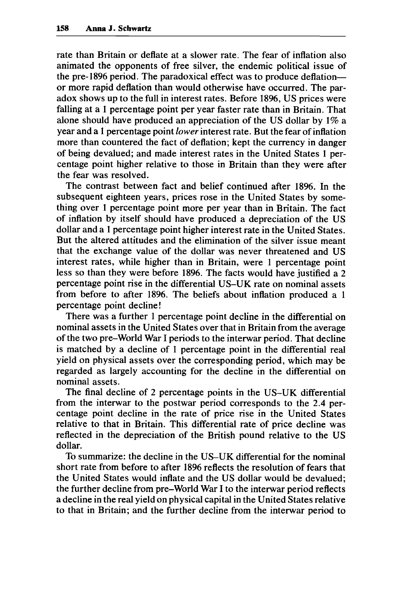rate than Britain or deflate at a slower rate. The fear of inflation also animated the opponents of free silver, the endemic political issue of the **pre-1896** period. The paradoxical effect was to produce deflationor more rapid deflation than would otherwise have occurred. The paradox shows up to the full in interest rates. Before **1896,** US prices were falling at a **1** percentage point per year faster rate than in Britain. That alone should have produced an appreciation of the US dollar by **1%** a year and a **1** percentage point lower interest rate. But the fear of inflation more than countered the fact of deflation; kept the currency in danger of being devalued; and made interest rates in the United States 1 percentage point higher relative to those in Britain than they were after the fear was resolved.

The contrast between fact and belief continued after **1896.** In the subsequent eighteen years, prices rose in the United States by something over **1** percentage point more per year than in Britain. The fact of inflation by itself should have produced a depreciation of the US dollar and a **1** percentage point higher interest rate in the United States. But the altered attitudes and the elimination of the silver issue meant that the exchange value of the dollar was never threatened and US interest rates, while higher than in Britain, were **1** percentage point less so than they were before **1896.** The facts would have justified a 2 percentage point rise in the differential US-UK rate on nominal assets from before to after **1896.** The beliefs about inflation produced a **<sup>1</sup>** percentage point decline!

There was a further **1** percentage point decline in the differential on nominal assets in the United States over that in Britain from the average of the two pre-World War I periods to the interwar period. That decline is matched by a decline of **1** percentage point in the differential real yield on physical assets over the corresponding period, which may be regarded as largely accounting for the decline in the differential on nominal assets.

The final decline of 2 percentage points in the US-UK differential from the interwar to the postwar period corresponds to the 2.4 percentage point decline in the rate of price rise in the United States relative to that in Britain. This differential rate of price decline was reflected in the depreciation of the British pound relative to the US dollar.

To summarize: the decline in the US-UK differential for the nominal short rate from before to after **1896** reflects the resolution of fears that the United States would inflate and the US dollar would be devalued; the further decline from pre-World War I to the interwar period reflects a decline in the real yield on physical capital in the United States relative to that in Britain; and the further decline from the interwar period to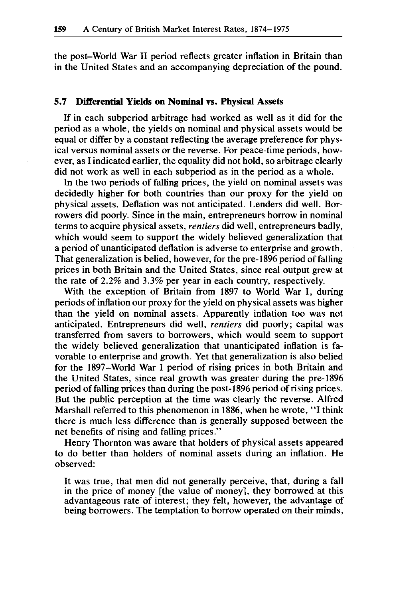the post-World War I1 period reflects greater inflation in Britain than in the United States and an accompanying depreciation of the pound.

#### **5.7 Differential Yields on Nominal vs. Physical Assets**

If in each subperiod arbitrage had worked as well as it did for the period as a whole, the yields on nominal and physical assets would be equal or differ by a constant reflecting the average preference for physical versus nominal assets or the reverse. For peace-time periods, however, as I indicated earlier, the equality did not hold, so arbitrage clearly did not work as well in each subperiod as in the period as a whole.

In the two periods of falling prices, the yield on nominal assets was decidedly higher for both countries than our proxy for the yield on physical assets. Deflation was not anticipated. Lenders did well. Borrowers did poorly. Since in the main, entrepreneurs borrow in nominal terms to acquire physical assets, rentiers did well, entrepreneurs badly, which would seem to support the widely believed generalization that a period of unanticipated deflation is adverse to enterprise and growth. That generalization is belied, however, for the pre-1896 period of falling prices in both Britain and the United States, since real output grew at the rate of 2.2% and 3.3% per year in each country, respectively.

With the exception of Britain from 1897 to World War I, during periods of inflation our proxy for the yield on physical assets was higher than the yield on nominal assets. Apparently inflation too was not anticipated. Entrepreneurs did well, rentiers did poorly; capital was transferred from savers to borrowers, which would seem to support the widely believed generalization that unanticipated inflation is favorable to enterprise and growth. Yet that generalization is also belied for the 1897-World War I period of rising prices in both Britain and the United States, since real growth was greater during the pre-1896 period of falling prices than during the post-1896 period of rising prices. But the public perception at the time was clearly the reverse. Alfred Marshall referred to this phenomenon in 1886, when he wrote, "I think there is much less difference than is generally supposed between the net benefits of rising and falling prices."

Henry Thornton was aware that holders of physical assets appeared to do better than holders *of* nominal assets during an inflation. He observed:

It was true, that men did not generally perceive, that, during a fall in the price of money [the value of money], they borrowed at this advantageous rate of interest; they felt, however, the advantage of being borrowers. The temptation to borrow operated on their minds,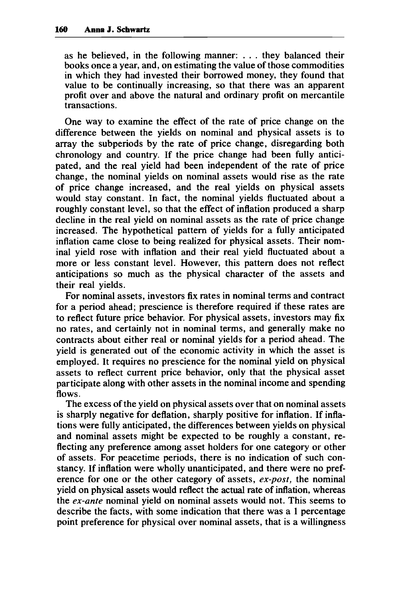as he believed, in the following manner: . . . they balanced their books once a year, and, on estimating the value of those commodities in which they had invested their borrowed money, they found that value to be continually increasing, so that there was an apparent profit over and above the natural and ordinary profit on mercantile transactions.

One way to examine the effect of the rate of price change on the difference between the yields on nominal and physical assets is to array the subperiods by the rate of price change, disregarding both chronology and country. If the price change had been fully anticipated, and the real yield had been independent of the rate of price change, the nominal yields on nominal assets would rise as the rate of price change increased, and the real yields on physical assets would stay constant. In fact, the nominal yields fluctuated about a roughly constant level, so that the effect of inflation produced a sharp decline in the real yield on nominal assets as the rate of price change increased. The hypothetical pattern of yields for a fully anticipated inflation came close to being realized for physical assets. Their nominal yield rose with inflation and their real yield fluctuated about a more or less constant level. However, this pattern does not reflect anticipations so much as the physical character of the assets and their real yields.

For nominal assets, investors fix rates in nominal terms and contract for a period ahead; prescience is therefore required if these rates are to reflect future price behavior. For physical assets, investors may fix no rates, and certainly not in nominal terms, and generally make no contracts about either real or nominal yields for a period ahead. The yield is generated out of the economic activity in which the asset is employed. It requires no prescience for the nominal yield on physical assets to reflect current price behavior, only that the physical asset participate along with other assets in the nominal income and spending flows.

The excess of the yield on physical assets over that on nominal assets is sharply negative for deflation, sharply positive for inflation. If inflations were fully anticipated, the differences between yields on physical and nominal assets might be expected to be roughly a constant, reflecting any preference among asset holders for one category or other of assets. For peacetime periods, there is no indication of such constancy. If inflation were wholly unanticipated, and there were no preference for one or the other category of assets, ex-post, the nominal yield on physical assets would reflect the actual rate of inflation, whereas the ex-ante nominal yield on nominal assets would not. This seems to describe the facts, with some indication that there was a 1 percentage point preference for physical over nominal assets, that is a willingness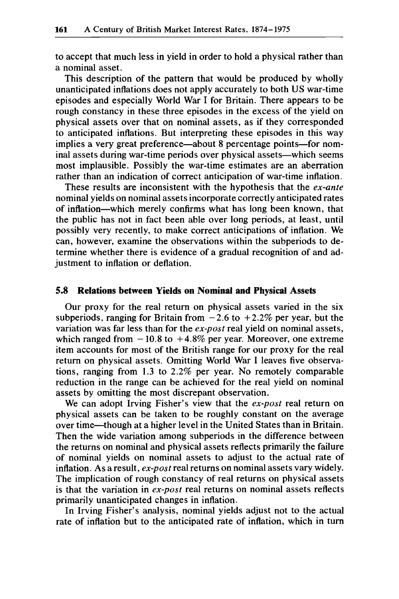to accept that much less in yield in order to hold a physical rather than a nominal asset.

This description of the pattern that would be produced by wholly unanticipated inflations does not apply accurately to both US war-time episodes and especially World War I for Britain. There appears to be rough constancy in these three episodes in the excess of the yield on physical assets over that on nominal assets, as if they corresponded to anticipated inflations. But interpreting these episodes in this way implies a very great preference—about 8 percentage points—for nominal assets during war-time periods over physical assets—which seems most implausible. Possibly the war-time estimates are an aberration rather than an indication of correct anticipation of war-time inflation.

These results are inconsistent with the hypothesis that the *ex-ante*  nominal yields on nominal assets incorporate correctly anticipated rates of inflation-which merely confirms what has long been known, that the public has not in fact been able over long periods, at least, until possibly very recently, to make correct anticipations of inflation. We can, however, examine the observations within the subperiods to determine whether there is evidence of a gradual recognition of and adjustment to inflation or deflation.

#### **5.8 Relations between Yields on Nominal and Physical Assets**

Our proxy for the real return on physical assets varied in the six subperiods, ranging for Britain from  $-2.6$  to  $+2.2\%$  per year, but the variation was far less than for the *ex-post* real yield on nominal assets, which ranged from  $-10.8$  to  $+4.8\%$  per year. Moreover, one extreme item accounts for most of the British range for our proxy for the real return on physical assets. Omitting World War I leaves five observations, ranging from **1.3** to **2.2%** per year. No remotely comparable reduction in the range can be achieved for the real yield on nominal assets by omitting the most discrepant observation.

We can adopt Irving Fisher's view that the *ex-post* real return on physical assets can be taken to be roughly constant on the average over time-though at a higher level in the United States than in Britain. Then the wide variation among subperiods in the difference between the returns on nominal and physical assets reflects primarily the failure of nominal yields on nominal assets to adjust to the actual rate of inflation. As a result, *ex-post* real returns on nominal assets vary widely. The implication of rough constancy of real returns on physical assets is that the variation in *ex-post* real returns on nominal assets reflects primarily unanticipated changes in inflation.

In Irving Fisher's analysis, nominal yields adjust not to the actual rate of inflation but to the anticipated rate of inflation, which in turn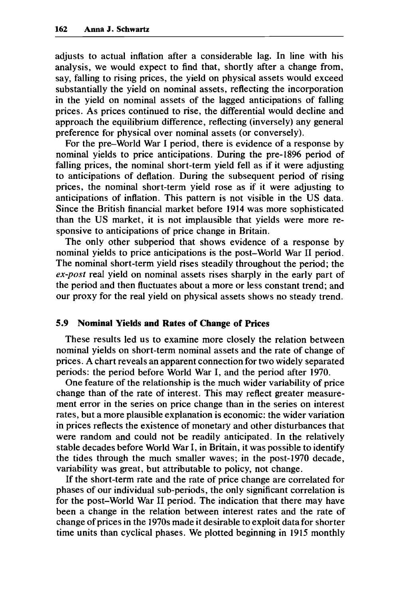adjusts to actual inflation after a considerable lag. In line with his analysis, we would expect to find that, shortly after a change from, say, falling to rising prices, the yield on physical assets would exceed substantially the yield on nominal assets, reflecting the incorporation in the yield on nominal assets of the lagged anticipations of falling prices. As prices continued to rise, the differential would decline and approach the equilibrium difference, reflecting (inversely) any general preference for physical over nominal assets (or conversely).

For the pre-World War I period, there is evidence of a response by nominal yields to price anticipations. During the pre-1896 period of falling prices, the nominal short-term yield fell as if it were adjusting to anticipations of deflation. During the subsequent period of rising prices, the nominal short-term yield rose as if it were adjusting to anticipations of inflation. This pattern is not visible in the US data. Since the British financial market before 1914 was more sophisticated than the US market, it is not implausible that yields were more responsive to anticipations of price change in Britain.

The only other subperiod that shows evidence of a response by nominal yields to price anticipations is the post-World War I1 period. The nominal short-term yield rises steadily throughout the period; the *ex-posf* real yield on nominal assets rises sharply in the early part of the period and then fluctuates about a more or less constant trend; and our proxy for the real yield on physical assets shows no steady trend.

#### **5.9 Nominal Yields and Rates of Change of Prices**

These results led us to examine more closely the relation between nominal yields on short-term nominal assets and the rate of change of prices. A chart reveals an apparent connection for two widely separated periods: the period before World War I, and the period after 1970.

One feature of the relationship is the much wider variability of price change than of the rate of interest. This may reflect greater measurement error in the series on price change than in the series on interest rates, but a more plausible explanation is economic: the wider variation in prices reflects the existence of monetary and other disturbances that were random and could not be readily anticipated. In the relatively stable decades before World War I, in Britain, it was possible to identify the tides through the much smaller waves; in the post-1970 decade, variability was great, but attributable to policy, not change.

If the short-term rate and the rate of price change are correlated for phases of our individual sub-periods, the only significant correlation is for the post-World War I1 period. The indication that there may have been a change in the relation between interest rates and the rate of change of prices in the 1970s made it desirable to exploit data for shorter time units than cyclical phases. We plotted beginning in 1915 monthly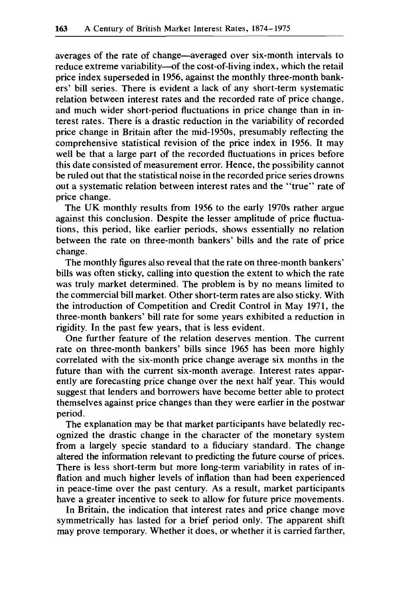averages of the rate of change-averaged over six-month intervals to reduce extreme variability—of the cost-of-living index, which the retail price index superseded in 1956, against the monthly three-month bankers' bill series. There is evident a lack of any short-term systematic relation between interest rates and the recorded rate of price change, and much wider short-period fluctuations in price change than in interest rates. There is a drastic reduction in the variability of recorded price change in Britain after the mid-1950s, presumably reflecting the comprehensive statistical revision of the price index in 1956. It may well be that a large part of the recorded fluctuations in prices before this date consisted of measurement error. Hence, the possibility cannot be ruled out that the statistical noise in the recorded price series drowns out a systematic relation between interest rates and the "true" rate of price change.

The UK monthly results from 1956 to the early 1970s rather argue against this conclusion. Despite the lesser amplitude of price fluctuations, this period, like earlier periods, shows essentially no relation between the rate on three-month bankers' bills and the rate of price change.

The monthly figures also reveal that the rate on three-month bankers' bills was often sticky, calling into question the extent to which the rate was truly market determined. The problem is by no means limited to the commercial bill market. Other short-term rates are also sticky. With the introduction of Competition and Credit Control in May 1971, the three-month bankers' bill rate for some years exhibited a reduction in rigidity. In the past few years, that is less evident.

One further feature of the relation deserves mention. The current rate on three-month bankers' bills since 1965 has been more highly correlated with the six-month price change average six months in the future than with the current six-month average. Interest rates apparently are forecasting price change over the next half year. This would suggest that lenders and borrowers have become better able to protect themselves against price changes than they were earlier in the postwar period.

The explanation may be that market participants have belatedly recognized the drastic change in the character of the monetary system from a largely specie standard to a fiduciary standard. The change altered the information relevant to predicting the future course of prices. There is less short-term but more long-term variability in rates of inflation and much higher levels of inflation than had been experienced in peace-time over the past century. As a result, market participants have a greater incentive to seek to allow for future price movements.

In Britain, the indication that interest rates and price change move symmetrically has lasted for a brief period only. The apparent shift may prove temporary. Whether it does, or whether it is carried farther,